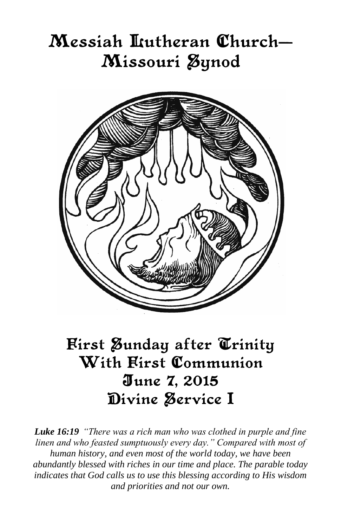# Messiah Itutheran Church– Missouri Øynod



# First Sunday after Trinity With First Communion June 7, 2015 Divine Service I

*Luke 16:19 "There was a rich man who was clothed in purple and fine linen and who feasted sumptuously every day." Compared with most of human history, and even most of the world today, we have been abundantly blessed with riches in our time and place. The parable today indicates that God calls us to use this blessing according to His wisdom and priorities and not our own.*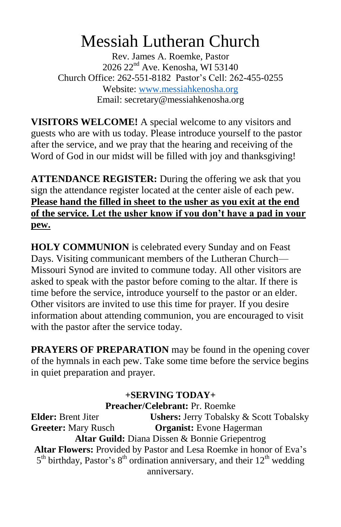# Messiah Lutheran Church

Rev. James A. Roemke, Pastor 2026 22nd Ave. Kenosha, WI 53140 Church Office: 262-551-8182 Pastor's Cell: 262-455-0255 Website: [www.messiahkenosha.org](http://www.messiahkenosha.org/) Email: secretary@messiahkenosha.org

**VISITORS WELCOME!** A special welcome to any visitors and guests who are with us today. Please introduce yourself to the pastor after the service, and we pray that the hearing and receiving of the Word of God in our midst will be filled with joy and thanksgiving!

**ATTENDANCE REGISTER:** During the offering we ask that you sign the attendance register located at the center aisle of each pew. **Please hand the filled in sheet to the usher as you exit at the end of the service. Let the usher know if you don't have a pad in your pew.**

**HOLY COMMUNION** is celebrated every Sunday and on Feast Days. Visiting communicant members of the Lutheran Church— Missouri Synod are invited to commune today. All other visitors are asked to speak with the pastor before coming to the altar. If there is time before the service, introduce yourself to the pastor or an elder. Other visitors are invited to use this time for prayer. If you desire information about attending communion, you are encouraged to visit with the pastor after the service today.

**PRAYERS OF PREPARATION** may be found in the opening cover of the hymnals in each pew. Take some time before the service begins in quiet preparation and prayer.

# **+SERVING TODAY+**

**Preacher/Celebrant:** Pr. Roemke

**Elder:** Brent Jiter **Ushers:** Jerry Tobalsky & Scott Tobalsky **Greeter:** Mary Rusch **Organist:** Evone Hagerman **Altar Guild:** Diana Dissen & Bonnie Griepentrog **Altar Flowers:** Provided by Pastor and Lesa Roemke in honor of Eva's  $5<sup>th</sup>$  birthday, Pastor's  $8<sup>th</sup>$  ordination anniversary, and their  $12<sup>th</sup>$  wedding anniversary.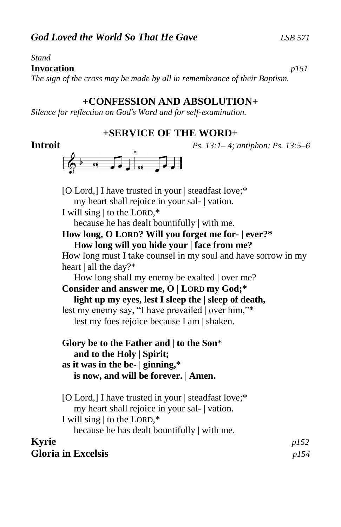*Stand*

#### **Invocation** *p151*

*The sign of the cross may be made by all in remembrance of their Baptism.*

# **+CONFESSION AND ABSOLUTION+**

*Silence for reflection on God's Word and for self-examination.*

# **+SERVICE OF THE WORD+**

```
Introit Ps. 13:1– 4; antiphon: Ps. 13:5–6
```
 $\sqrt{2}$   $\sqrt{2}$ 

[O Lord,] I have trusted in your | steadfast love;\* my heart shall rejoice in your sal- | vation. I will sing | to the LORD,\* because he has dealt bountifully | with me. **How long, O LORD? Will you forget me for- | ever?\* How long will you hide your | face from me?** How long must I take counsel in my soul and have sorrow in my heart | all the day?\* How long shall my enemy be exalted | over me? **Consider and answer me, O | LORD my God;\* light up my eyes, lest I sleep the | sleep of death,** lest my enemy say, "I have prevailed | over him,"\* lest my foes rejoice because I am | shaken. **Glory be to the Father and** | **to the Son**\*  **and to the Holy** | **Spirit; as it was in the be-** | **ginning,**\*  **is now, and will be forever.** | **Amen.** [O Lord,] I have trusted in your | steadfast love;\* my heart shall rejoice in your sal- | vation. I will sing | to the LORD,\* because he has dealt bountifully | with me. **Kyrie** *p152* **Gloria in Excelsis** *p154*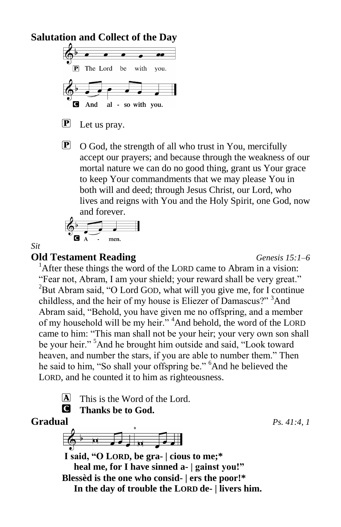## **Salutation and Collect of the Day**



- $\mathbf{P}$  Let us pray.
- $\mathbf{P}$  O God, the strength of all who trust in You, mercifully accept our prayers; and because through the weakness of our mortal nature we can do no good thing, grant us Your grace to keep Your commandments that we may please You in both will and deed; through Jesus Christ, our Lord, who lives and reigns with You and the Holy Spirit, one God, now and forever.

$$
\begin{array}{c|c}\n\begin{array}{ccc}\n\bullet \\
\bullet \\
\bullet \\
\bullet\n\end{array} & \begin{array}{ccc}\n\bullet \\
\bullet \\
\bullet \\
\bullet\n\end{array}\n\end{array}
$$

*Sit*

### **Old Testament Reading** *Genesis 15:1–6*

 $<sup>1</sup>$ After these things the word of the LORD came to Abram in a vision:</sup> "Fear not, Abram, I am your shield; your reward shall be very great."  $^{2}$ But Abram said, "O Lord GOD, what will you give me, for I continue childless, and the heir of my house is Eliezer of Damascus?"<sup>3</sup>And Abram said, "Behold, you have given me no offspring, and a member of my household will be my heir." <sup>4</sup>And behold, the word of the LORD came to him: "This man shall not be your heir; your very own son shall be your heir." <sup>5</sup>And he brought him outside and said, "Look toward heaven, and number the stars, if you are able to number them." Then he said to him, "So shall your offspring be." <sup>6</sup>And he believed the LORD, and he counted it to him as righteousness.



C **Thanks be to God.**



**I said, "O LORD, be gra- | cious to me;\* heal me, for I have sinned a- | gainst you!" Blessèd is the one who consid- | ers the poor!\* In the day of trouble the LORD de- | livers him.**

**Gradual** *Ps. 41:4, 1*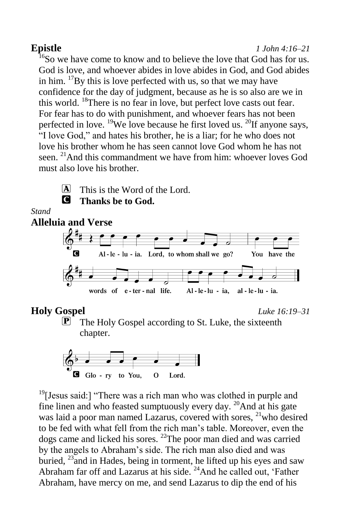#### **Epistle** *1 John 4:16–21*

<sup>16</sup>So we have come to know and to believe the love that God has for us. God is love, and whoever abides in love abides in God, and God abides in him.  $17$ By this is love perfected with us, so that we may have confidence for the day of judgment, because as he is so also are we in this world. <sup>18</sup>There is no fear in love, but perfect love casts out fear. For fear has to do with punishment, and whoever fears has not been perfected in love. <sup>19</sup>We love because he first loved us. <sup>20</sup>If anyone says, "I love God," and hates his brother, he is a liar; for he who does not love his brother whom he has seen cannot love God whom he has not seen. <sup>21</sup>And this commandment we have from him: whoever loves God must also love his brother.



 $\overline{A}$  This is the Word of the Lord. C **Thanks be to God.**

#### *Stand*



# **Holy Gospel** *Luke 16:19–31*

 $\mathbf{P}$  The Holy Gospel according to St. Luke, the sixteenth chapter.



 $19$ [Jesus said:] "There was a rich man who was clothed in purple and fine linen and who feasted sumptuously every day. <sup>20</sup>And at his gate was laid a poor man named Lazarus, covered with sores, <sup>21</sup>who desired to be fed with what fell from the rich man's table. Moreover, even the dogs came and licked his sores. <sup>22</sup>The poor man died and was carried by the angels to Abraham's side. The rich man also died and was buried,  $^{23}$  and in Hades, being in torment, he lifted up his eyes and saw Abraham far off and Lazarus at his side. <sup>24</sup>And he called out, 'Father Abraham, have mercy on me, and send Lazarus to dip the end of his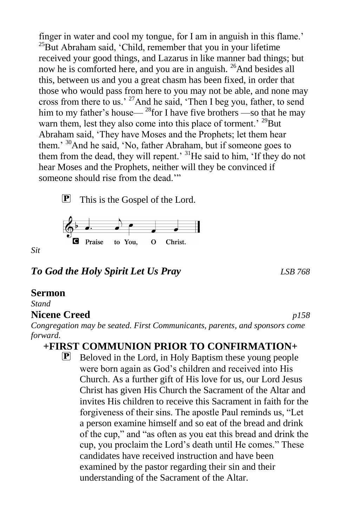finger in water and cool my tongue, for I am in anguish in this flame.'  $^{25}$ But Abraham said, 'Child, remember that you in your lifetime received your good things, and Lazarus in like manner bad things; but now he is comforted here, and you are in anguish. <sup>26</sup>And besides all this, between us and you a great chasm has been fixed, in order that those who would pass from here to you may not be able, and none may cross from there to us.' <sup>27</sup>And he said, 'Then I beg you, father, to send him to my father's house— $^{28}$  for I have five brothers —so that he may warn them, lest they also come into this place of torment.<sup>' 29</sup>But Abraham said, 'They have Moses and the Prophets; let them hear them.' <sup>30</sup>And he said, 'No, father Abraham, but if someone goes to them from the dead, they will repent.' <sup>31</sup>He said to him, 'If they do not hear Moses and the Prophets, neither will they be convinced if someone should rise from the dead."

 $\mathbf{P}$  This is the Gospel of the Lord.



*Sit*

# *To God the Holy Spirit Let Us Pray LSB 768*

# **Sermon**

*Stand*

# **Nicene Creed** *p158*

*Congregation may be seated. First Communicants, parents, and sponsors come forward.*

# **+FIRST COMMUNION PRIOR TO CONFIRMATION+**

**P** Beloved in the Lord, in Holy Baptism these young people were born again as God's children and received into His Church. As a further gift of His love for us, our Lord Jesus Christ has given His Church the Sacrament of the Altar and invites His children to receive this Sacrament in faith for the forgiveness of their sins. The apostle Paul reminds us, "Let a person examine himself and so eat of the bread and drink of the cup," and "as often as you eat this bread and drink the cup, you proclaim the Lord's death until He comes." These candidates have received instruction and have been examined by the pastor regarding their sin and their understanding of the Sacrament of the Altar.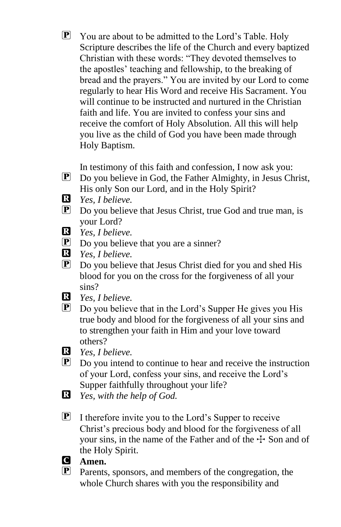$\mathbf{P}$  You are about to be admitted to the Lord's Table. Holy Scripture describes the life of the Church and every baptized Christian with these words: "They devoted themselves to the apostles' teaching and fellowship, to the breaking of bread and the prayers." You are invited by our Lord to come regularly to hear His Word and receive His Sacrament. You will continue to be instructed and nurtured in the Christian faith and life. You are invited to confess your sins and receive the comfort of Holy Absolution. All this will help you live as the child of God you have been made through Holy Baptism.

In testimony of this faith and confession, I now ask you:

- **P** Do you believe in God, the Father Almighty, in Jesus Christ, His only Son our Lord, and in the Holy Spirit?
- R *Yes, I believe.*
- **P** Do you believe that Jesus Christ, true God and true man, is your Lord?
- R *Yes, I believe.*
- $\overline{P}$  Do you believe that you are a sinner?<br> $\overline{Q}$  Yes. *I believe*.
- R *Yes, I believe.*
- P Do you believe that Jesus Christ died for you and shed His blood for you on the cross for the forgiveness of all your sins?
- R *Yes, I believe.*
- Do you believe that in the Lord's Supper He gives you His true body and blood for the forgiveness of all your sins and to strengthen your faith in Him and your love toward others?

R *Yes, I believe.*

- $\mathbf{P}$  Do you intend to continue to hear and receive the instruction of your Lord, confess your sins, and receive the Lord's Supper faithfully throughout your life?
- R *Yes, with the help of God.*
- $\mathbf{P}$  I therefore invite you to the Lord's Supper to receive Christ's precious body and blood for the forgiveness of all your sins, in the name of the Father and of the  $\pm$  Son and of the Holy Spirit.

**G Amen.**<br>**P** Parents

Parents, sponsors, and members of the congregation, the whole Church shares with you the responsibility and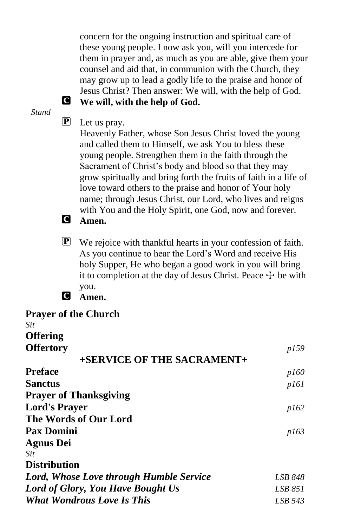concern for the ongoing instruction and spiritual care of these young people. I now ask you, will you intercede for them in prayer and, as much as you are able, give them your counsel and aid that, in communion with the Church, they may grow up to lead a godly life to the praise and honor of Jesus Christ? Then answer: We will, with the help of God. C **We will, with the help of God.**

#### *Stand*

# **P** Let us pray.

Heavenly Father, whose Son Jesus Christ loved the young and called them to Himself, we ask You to bless these young people. Strengthen them in the faith through the Sacrament of Christ's body and blood so that they may grow spiritually and bring forth the fruits of faith in a life of love toward others to the praise and honor of Your holy name; through Jesus Christ, our Lord, who lives and reigns with You and the Holy Spirit, one God, now and forever. C **Amen.**

- P We rejoice with thankful hearts in your confession of faith. As you continue to hear the Lord's Word and receive His holy Supper, He who began a good work in you will bring it to completion at the day of Jesus Christ. Peace  $\pm$  be with you.
- C **Amen.**

| <b>Prayer of the Church</b>             |             |
|-----------------------------------------|-------------|
| Sit                                     |             |
| <b>Offering</b>                         |             |
| <b>Offertory</b>                        | <i>p159</i> |
| +SERVICE OF THE SACRAMENT+              |             |
| <b>Preface</b>                          | <i>p160</i> |
| <b>Sanctus</b>                          | p161        |
| <b>Prayer of Thanksgiving</b>           |             |
| <b>Lord's Prayer</b>                    | p162        |
| The Words of Our Lord                   |             |
| <b>Pax Domini</b>                       | <i>p163</i> |
| <b>Agnus Dei</b>                        |             |
| Sit                                     |             |
| <b>Distribution</b>                     |             |
| Lord, Whose Love through Humble Service | LSB 848     |
| Lord of Glory, You Have Bought Us       | LSB 851     |
| <b>What Wondrous Love Is This</b>       | LSB 543     |
|                                         |             |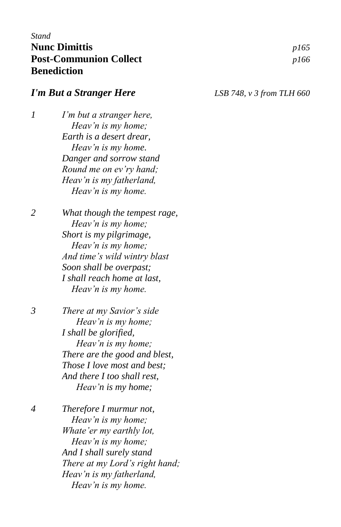| Stand                         |             |
|-------------------------------|-------------|
| <b>Nunc Dimittis</b>          | <i>p165</i> |
| <b>Post-Communion Collect</b> | <i>p166</i> |
| <b>Benediction</b>            |             |

*I'm But a Stranger Here LSB 748, v 3 from TLH 660*

*1 I'm but a stranger here, Heav'n is my home; Earth is a desert drear, Heav'n is my home. Danger and sorrow stand Round me on ev'ry hand; Heav'n is my fatherland, Heav'n is my home.*

*2 What though the tempest rage, Heav'n is my home; Short is my pilgrimage, Heav'n is my home; And time's wild wintry blast Soon shall be overpast; I shall reach home at last, Heav'n is my home.*

*3 There at my Savior's side Heav'n is my home; I shall be glorified, Heav'n is my home; There are the good and blest, Those I love most and best; And there I too shall rest, Heav'n is my home;*

*4 Therefore I murmur not, Heav'n is my home; Whate'er my earthly lot, Heav'n is my home; And I shall surely stand There at my Lord's right hand; Heav'n is my fatherland, Heav'n is my home.*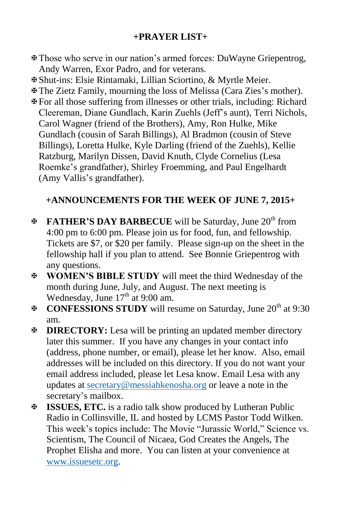# **+PRAYER LIST+**

- Those who serve in our nation's armed forces: DuWayne Griepentrog, Andy Warren, Exor Padro, and for veterans.
- Shut-ins: Elsie Rintamaki, Lillian Sciortino, & Myrtle Meier.
- The Zietz Family, mourning the loss of Melissa (Cara Zies's mother).
- For all those suffering from illnesses or other trials, including: Richard Cleereman, Diane Gundlach, Karin Zuehls (Jeff's aunt), Terri Nichols, Carol Wagner (friend of the Brothers), Amy, Ron Hulke, Mike Gundlach (cousin of Sarah Billings), Al Bradmon (cousin of Steve Billings), Loretta Hulke, Kyle Darling (friend of the Zuehls), Kellie Ratzburg, Marilyn Dissen, David Knuth, Clyde Cornelius (Lesa Roemke's grandfather), Shirley Froemming, and Paul Engelhardt (Amy Vallis's grandfather).

# **+ANNOUNCEMENTS FOR THE WEEK OF JUNE 7, 2015+**

- **FATHER'S DAY BARBECUE** will be Saturday, June 20<sup>th</sup> from 4:00 pm to 6:00 pm. Please join us for food, fun, and fellowship. Tickets are \$7, or \$20 per family. Please sign-up on the sheet in the fellowship hall if you plan to attend. See Bonnie Griepentrog with any questions.
- **WOMEN'S BIBLE STUDY** will meet the third Wednesday of the month during June, July, and August. The next meeting is Wednesday, June  $17<sup>th</sup>$  at 9:00 am.
- **E** CONFESSIONS STUDY will resume on Saturday, June 20<sup>th</sup> at 9:30 am.
- **EXECTORY:** Lesa will be printing an updated member directory later this summer. If you have any changes in your contact info (address, phone number, or email), please let her know. Also, email addresses will be included on this directory. If you do not want your email address included, please let Lesa know. Email Lesa with any updates at [secretary@messiahkenosha.org](mailto:secretary@messiahkenosha.org) or leave a note in the secretary's mailbox.
- **ISSUES, ETC.** is a radio talk show produced by Lutheran Public Radio in Collinsville, IL and hosted by LCMS Pastor Todd Wilken. This week's topics include: The Movie "Jurassic World," Science vs. Scientism, The Council of Nicaea, God Creates the Angels, The Prophet Elisha and more. You can listen at your convenience at [www.issuesetc.org.](http://www.issuesetc.org/)